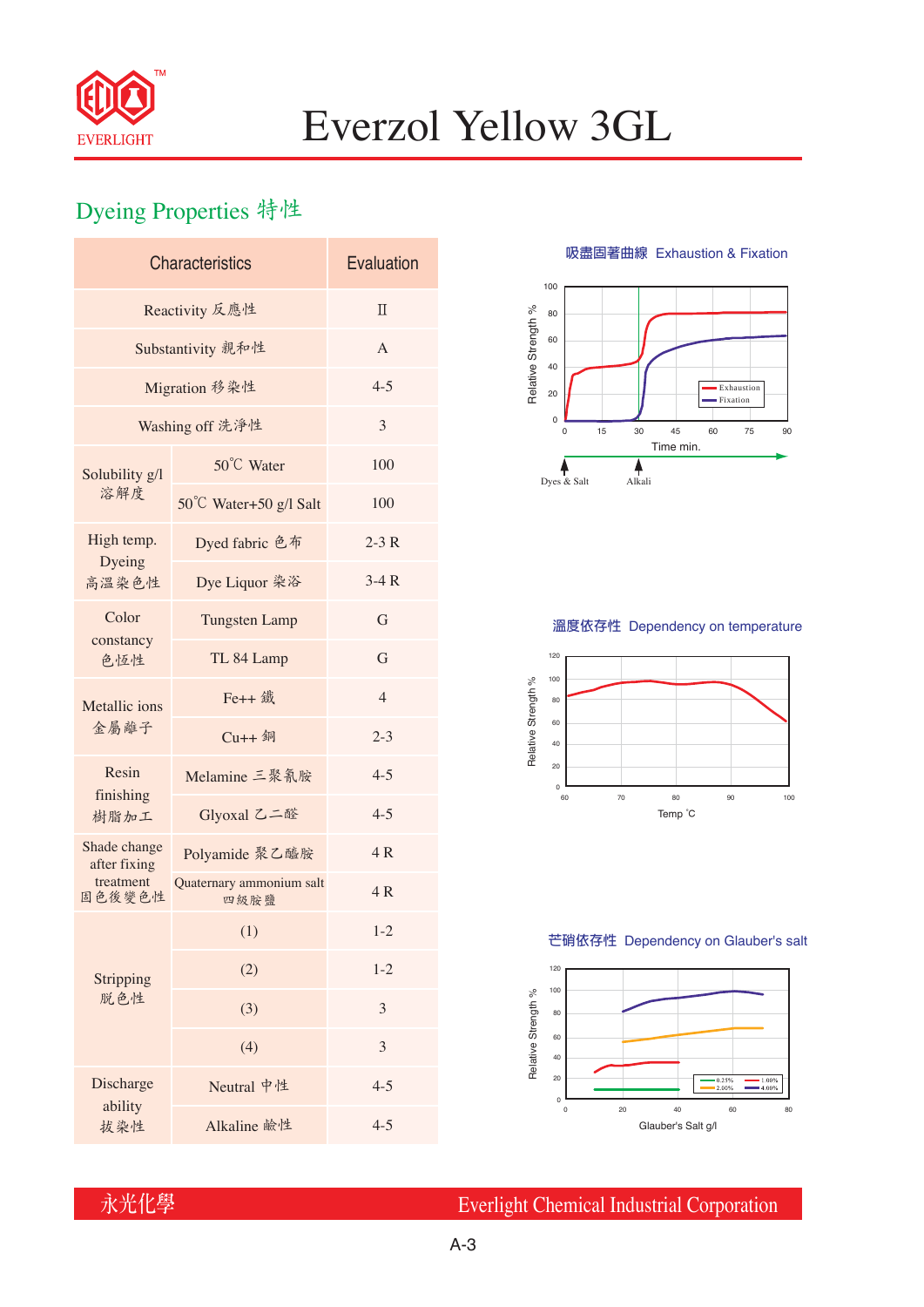

# Everzol Yellow 3GL

## Dyeing Properties 特性

| <b>Characteristics</b>       | Evaluation                       |                |  |  |  |
|------------------------------|----------------------------------|----------------|--|--|--|
| Reactivity 反應性               | $\Pi$                            |                |  |  |  |
| Substantivity 親和性            | A                                |                |  |  |  |
| Migration 移染性                | $4 - 5$                          |                |  |  |  |
| Washing off 洗淨性              | 3                                |                |  |  |  |
| Solubility g/l<br>溶解度        | 50°C Water                       | 100            |  |  |  |
|                              | 50°C Water+50 g/l Salt           | 100            |  |  |  |
| High temp.<br>Dyeing         | Dyed fabric 色布                   | $2-3R$         |  |  |  |
| 高溫染色性                        | Dye Liquor 染浴                    | $3-4R$         |  |  |  |
| Color<br>constancy<br>色恆性    | <b>Tungsten Lamp</b>             | G              |  |  |  |
|                              | TL 84 Lamp                       | G              |  |  |  |
| Metallic ions<br>金屬離子        | Fe++ 鐵                           | $\overline{4}$ |  |  |  |
|                              | $Cu++4$                          | $2 - 3$        |  |  |  |
| Resin<br>finishing<br>樹脂加工   | Melamine 三聚氰胺                    | $4 - 5$        |  |  |  |
|                              | Glyoxal 乙二醛                      | $4 - 5$        |  |  |  |
| Shade change<br>after fixing | Polyamide 聚乙醯胺                   | 4R             |  |  |  |
| treatment<br>固色後變色性          | Quaternary ammonium salt<br>四級胺鹽 | 4R             |  |  |  |
|                              | (1)                              | $1 - 2$        |  |  |  |
| Stripping<br>脱色性             | (2)                              | $1 - 2$        |  |  |  |
|                              | (3)                              | 3              |  |  |  |
|                              | (4)                              | 3              |  |  |  |
| Discharge<br>ability         | Neutral 中性                       | $4 - 5$        |  |  |  |
| 拔染性                          | Alkaline 鹼性                      | $4 - 5$        |  |  |  |

**吸盡固著曲線** Exhaustion & Fixation



### **溫度依存性** Dependency on temperature



#### **芒硝依存性** Dependency on Glauber's salt